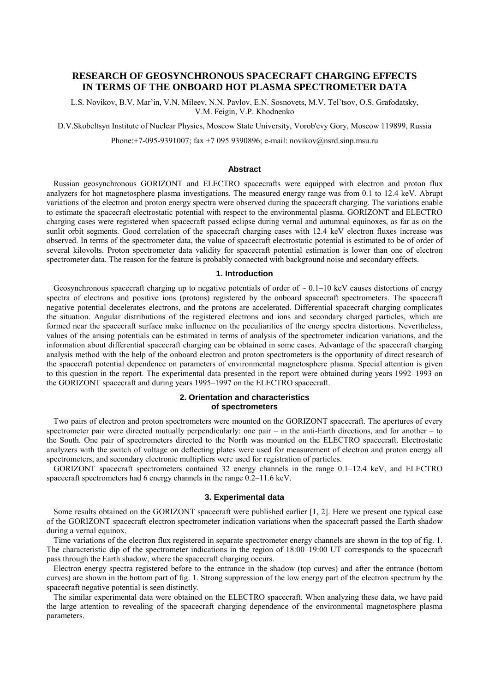# **RESEARCH OF GEOSYNCHRONOUS SPACECRAFT CHARGING EFFECTS IN TERMS OF THE ONBOARD HOT PLASMA SPECTROMETER DATA**

L.S. Novikov, B.V. Mar'in, V.N. Mileev, N.N. Pavlov, E.N. Sosnovets, M.V. Tel'tsov, O.S. Grafodatsky, V.M. Feigin, V.P. Khodnenko

D.V.Skobeltsyn Institute of Nuclear Physics, Moscow State University, Vorob'evy Gory, Moscow 119899, Russia

Phone:+7-095-9391007; fax +7 095 9390896; e-mail: novikov@nsrd.sinp.msu.ru

# **Abstract**

Russian geosynchronous GORIZONT and ELECTRO spacecrafts were equipped with electron and proton flux analyzers for hot magnetosphere plasma investigations. The measured energy range was from 0.1 to 12.4 keV. Abrupt variations of the electron and proton energy spectra were observed during the spacecraft charging. The variations enable to estimate the spacecraft electrostatic potential with respect to the environmental plasma. GORIZONT and ELECTRO charging cases were registered when spacecraft passed eclipse during vernal and autumnal equinoxes, as far as on the sunlit orbit segments. Good correlation of the spacecraft charging cases with 12.4 keV electron fluxes increase was observed. In terms of the spectrometer data, the value of spacecraft electrostatic potential is estimated to be of order of several kilovolts. Proton spectrometer data validity for spacecraft potential estimation is lower than one of electron spectrometer data. The reason for the feature is probably connected with background noise and secondary effects.

## **1. Introduction**

Geosynchronous spacecraft charging up to negative potentials of order of  $\sim 0.1-10$  keV causes distortions of energy spectra of electrons and positive ions (protons) registered by the onboard spacecraft spectrometers. The spacecraft negative potential decelerates electrons, and the protons are accelerated. Differential spacecraft charging complicates the situation. Angular distributions of the registered electrons and ions and secondary charged particles, which are formed near the spacecraft surface make influence on the peculiarities of the energy spectra distortions. Nevertheless, values of the arising potentials can be estimated in terms of analysis of the spectrometer indication variations, and the information about differential spacecraft charging can be obtained in some cases. Advantage of the spacecraft charging analysis method with the help of the onboard electron and proton spectrometers is the opportunity of direct research of the spacecraft potential dependence on parameters of environmental magnetosphere plasma. Special attention is given to this question in the report. The experimental data presented in the report were obtained during years 1992–1993 on the GORIZONT spacecraft and during years 1995–1997 on the ELECTRO spacecraft.

# **2. Orientation and characteristics of spectrometers**

Two pairs of electron and proton spectrometers were mounted on the GORIZONT spacecraft. The apertures of every spectrometer pair were directed mutually perpendicularly: one pair – in the anti-Earth directions, and for another – to the South. One pair of spectrometers directed to the North was mounted on the ELECTRO spacecraft. Electrostatic analyzers with the switch of voltage on deflecting plates were used for measurement of electron and proton energy all spectrometers, and secondary electronic multipliers were used for registration of particles.

GORIZONT spacecraft spectrometers contained 32 energy channels in the range 0.1–12.4 keV, and ELECTRO spacecraft spectrometers had 6 energy channels in the range 0.2–11.6 keV.

## **3. Experimental data**

Some results obtained on the GORIZONT spacecraft were published earlier [1, 2]. Here we present one typical case of the GORIZONT spacecraft electron spectrometer indication variations when the spacecraft passed the Earth shadow during a vernal equinox.

Time variations of the electron flux registered in separate spectrometer energy channels are shown in the top of fig. 1. The characteristic dip of the spectrometer indications in the region of 18:00–19:00 UT corresponds to the spacecraft pass through the Earth shadow, where the spacecraft charging occurs.

Electron energy spectra registered before to the entrance in the shadow (top curves) and after the entrance (bottom curves) are shown in the bottom part of fig. 1. Strong suppression of the low energy part of the electron spectrum by the spacecraft negative potential is seen distinctly.

The similar experimental data were obtained on the ELECTRO spacecraft. When analyzing these data, we have paid the large attention to revealing of the spacecraft charging dependence of the environmental magnetosphere plasma parameters.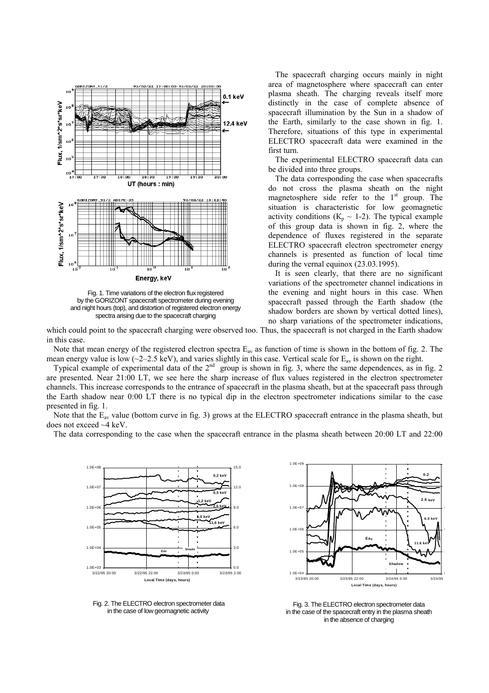

Fig. 1. Time variations of the electron flux registered by the GORIZONT spacecraft spectrometer during evening and night hours (top), and distortion of registered electron energy spectra arising due to the spacecraft charging

The spacecraft charging occurs mainly in night area of magnetosphere where spacecraft can enter plasma sheath. The charging reveals itself more distinctly in the case of complete absence of spacecraft illumination by the Sun in a shadow of the Earth, similarly to the case shown in fig. 1. Therefore, situations of this type in experimental ELECTRO spacecraft data were examined in the first turn.

The experimental ELECTRO spacecraft data can be divided into three groups.

The data corresponding the case when spacecrafts do not cross the plasma sheath on the night magnetosphere side refer to the  $1<sup>st</sup>$  group. The situation is characteristic for low geomagnetic activity conditions ( $K_p \sim 1-2$ ). The typical example of this group data is shown in fig. 2, where the dependence of fluxes registered in the separate ELECTRO spacecraft electron spectrometer energy channels is presented as function of local time during the vernal equinox (23.03.1995).

It is seen clearly, that there are no significant variations of the spectrometer channel indications in the evening and night hours in this case. When spacecraft passed through the Earth shadow (the shadow borders are shown by vertical dotted lines), no sharp variations of the spectrometer indications,

which could point to the spacecraft charging were observed too. Thus, the spacecraft is not charged in the Earth shadow in this case.

Note that mean energy of the registered electron spectra  $E_{av}$  as function of time is shown in the bottom of fig. 2. The mean energy value is low ( $\sim$ 2–2.5 keV), and varies slightly in this case. Vertical scale for  $E_{av}$  is shown on the right.

Typical example of experimental data of the  $2<sup>nd</sup>$  group is shown in fig. 3, where the same dependences, as in fig. 2 are presented. Near 21:00 LT, we see here the sharp increase of flux values registered in the electron spectrometer channels. This increase corresponds to the entrance of spacecraft in the plasma sheath, but at the spacecraft pass through the Earth shadow near 0:00 LT there is no typical dip in the electron spectrometer indications similar to the case presented in fig. 1.

Note that the  $E_{av}$  value (bottom curve in fig. 3) grows at the ELECTRO spacecraft entrance in the plasma sheath, but does not exceed ~4 keV.

The data corresponding to the case when the spacecraft entrance in the plasma sheath between 20:00 LT and 22:00



 $1.0E+04$   $3/23/95$   $20:00$  $1.0F + 0.5$ 1.0E+06 1.0E+07 1.0E+08  $1.0E + 09$ 3/23/95 20:00 3/23/95 22:00 3/24/95 0:00 3/24/95 **Local Time (days, hours) 0.2 11.6 keV 6.0 keV 2.6 keV Eav Shadow**

0

6

9

 Fig. 2. The ELECTRO electron spectrometer data in the case of low geomagnetic activity

Fig. 3. The ELECTRO electron spectrometer data in the case of the spacecraft entry in the plasma sheath in the absence of charging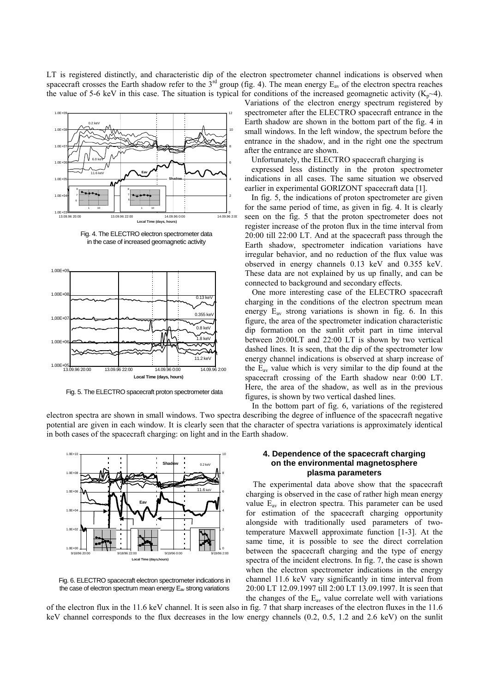LT is registered distinctly, and characteristic dip of the electron spectrometer channel indications is observed when spacecraft crosses the Earth shadow refer to the  $3<sup>rd</sup>$  group (fig. 4). The mean energy  $E_{av}$  of the electron spectra reaches the value of 5-6 keV in this case. The situation is typical for conditions of the increased geomagnetic activity  $(K_p \sim 4)$ .



Fig. 4. The ELECTRO electron spectrometer data in the case of increased geomagnetic activity



Fig. 5. The ELECTRO spacecraft proton spectrometer data

Variations of the electron energy spectrum registered by spectrometer after the ELECTRO spacecraft entrance in the Earth shadow are shown in the bottom part of the fig. 4 in small windows. In the left window, the spectrum before the entrance in the shadow, and in the right one the spectrum after the entrance are shown.

Unfortunately, the ELECTRO spacecraft charging is

expressed less distinctly in the proton spectrometer indications in all cases. The same situation we observed earlier in experimental GORIZONT spacecraft data [1].

In fig. 5, the indications of proton spectrometer are given for the same period of time, as given in fig. 4. It is clearly seen on the fig. 5 that the proton spectrometer does not register increase of the proton flux in the time interval from 20:00 till 22:00 LT. And at the spacecraft pass through the Earth shadow, spectrometer indication variations have irregular behavior, and no reduction of the flux value was observed in energy channels 0.13 keV and 0.355 keV. These data are not explained by us up finally, and can be connected to background and secondary effects.

One more interesting case of the ELECTRO spacecraft charging in the conditions of the electron spectrum mean energy  $E_{av}$  strong variations is shown in fig. 6. In this figure, the area of the spectrometer indication characteristic dip formation on the sunlit orbit part in time interval between 20:00LT and 22:00 LT is shown by two vertical dashed lines. It is seen, that the dip of the spectrometer low energy channel indications is observed at sharp increase of the  $E_{av}$  value which is very similar to the dip found at the spacecraft crossing of the Earth shadow near 0:00 LT. Here, the area of the shadow, as well as in the previous figures, is shown by two vertical dashed lines.

In the bottom part of fig. 6, variations of the registered electron spectra are shown in small windows. Two spectra describing the degree of influence of the spacecraft negative potential are given in each window. It is clearly seen that the character of spectra variations is approximately identical in both cases of the spacecraft charging: on light and in the Earth shadow.



Fig. 6. ELECTRO spacecraft electron spectrometer indications in the case of electron spectrum mean energy  $E_{av}$  strong variations

# **4. Dependence of the spacecraft charging on the environmental magnetosphere plasma parameters**

The experimental data above show that the spacecraft charging is observed in the case of rather high mean energy value  $E_{av}$  in electron spectra. This parameter can be used for estimation of the spacecraft charging opportunity alongside with traditionally used parameters of twotemperature Maxwell approximate function [1-3]. At the same time, it is possible to see the direct correlation between the spacecraft charging and the type of energy spectra of the incident electrons. In fig. 7, the case is shown when the electron spectrometer indications in the energy channel 11.6 keV vary significantly in time interval from 20:00 LT 12.09.1997 till 2:00 LT 13.09.1997. It is seen that the changes of the  $E_{av}$  value correlate well with variations

of the electron flux in the 11.6 keV channel. It is seen also in fig. 7 that sharp increases of the electron fluxes in the 11.6 keV channel corresponds to the flux decreases in the low energy channels (0.2, 0.5, 1.2 and 2.6 keV) on the sunlit